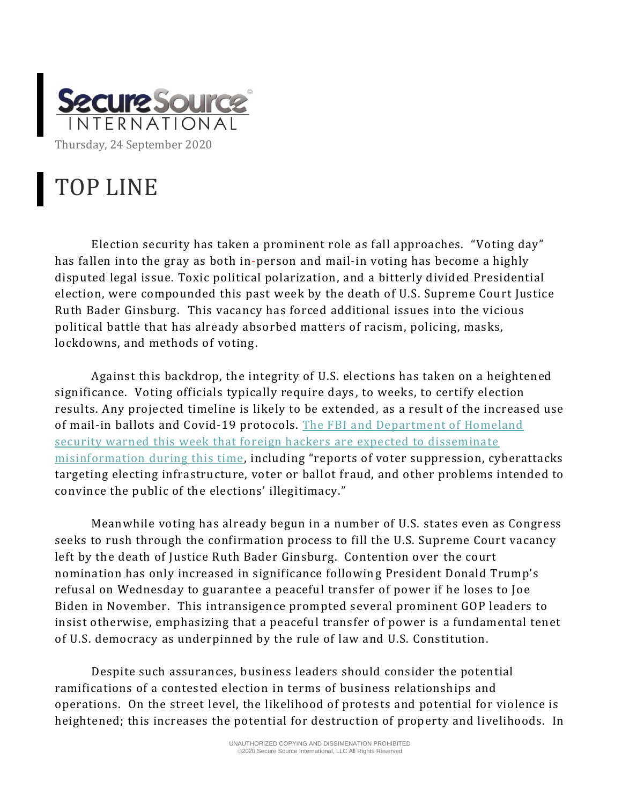

## TOP LINE

Election security has taken a prominent role as fall approaches. "Voting day" has fallen into the gray as both in-person and mail-in voting has become a highly disputed legal issue. Toxic political polarization, and a bitterly divided Presidential election, were compounded this past week by the death of U.S. Supreme Court Justice Ruth Bader Ginsburg. This vacancy has forced additional issues into the vicious political battle that has already absorbed matters of racism, policing, masks, lockdowns, and methods of voting.

Against this backdrop, the integrity of U.S. elections has taken on a heightened significance. Voting officials typically require days , to weeks, to certify election results. Any projected timeline is likely to be extended, as a result of the increased use of mail-in ballots and Covid-19 protocols. [The FBI and Department of Homeland](https://thehill.com/policy/cybersecurity/517662-fbi-dhs-warn-that-foreign-hackers-will-likely-spread-disinformation)  [security warned this week that foreign hackers are expected to disseminate](https://thehill.com/policy/cybersecurity/517662-fbi-dhs-warn-that-foreign-hackers-will-likely-spread-disinformation)  [misinformation during this time,](https://thehill.com/policy/cybersecurity/517662-fbi-dhs-warn-that-foreign-hackers-will-likely-spread-disinformation) including "reports of voter suppression, cyberattacks targeting electing infrastructure, voter or ballot fraud, and other problems intended to convince the public of the elections' illegitimacy."

Meanwhile voting has already begun in a number of U.S. states even as Congress seeks to rush through the confirmation process to fill the U.S. Supreme Court vacancy left by the death of Justice Ruth Bader Ginsburg. Contention over the court nomination has only increased in significance following President Donald Trump's refusal on Wednesday to guarantee a peaceful transfer of power if he loses to Joe Biden in November. This intransigence prompted several prominent GOP leaders to insist otherwise, emphasizing that a peaceful transfer of power is a fundamental tenet of U.S. democracy as underpinned by the rule of law and U.S. Constitution.

Despite such assurances, business leaders should consider the potential ramifications of a contested election in terms of business relationships and operations. On the street level, the likelihood of protests and potential for violence is heightened; this increases the potential for destruction of property and livelihoods. In